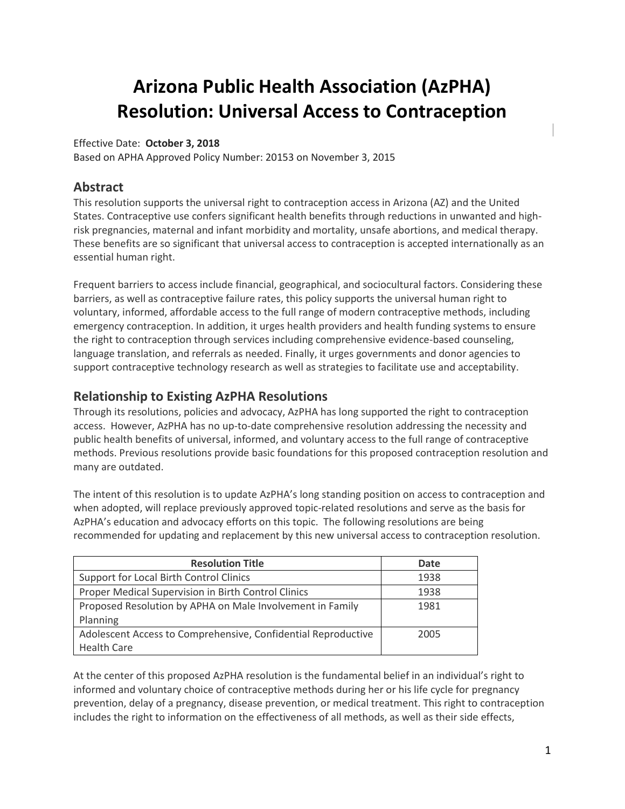# **Arizona Public Health Association (AzPHA) Resolution: Universal Access to Contraception**

#### Effective Date: **October 3, 2018**

Based on APHA Approved Policy Number: 20153 on November 3, 2015

#### **Abstract**

This resolution supports the universal right to contraception access in Arizona (AZ) and the United States. Contraceptive use confers significant health benefits through reductions in unwanted and highrisk pregnancies, maternal and infant morbidity and mortality, unsafe abortions, and medical therapy. These benefits are so significant that universal access to contraception is accepted internationally as an essential human right.

Frequent barriers to access include financial, geographical, and sociocultural factors. Considering these barriers, as well as contraceptive failure rates, this policy supports the universal human right to voluntary, informed, affordable access to the full range of modern contraceptive methods, including emergency contraception. In addition, it urges health providers and health funding systems to ensure the right to contraception through services including comprehensive evidence-based counseling, language translation, and referrals as needed. Finally, it urges governments and donor agencies to support contraceptive technology research as well as strategies to facilitate use and acceptability.

### **Relationship to Existing AzPHA Resolutions**

Through its resolutions, policies and advocacy, AzPHA has long supported the right to contraception access. However, AzPHA has no up-to-date comprehensive resolution addressing the necessity and public health benefits of universal, informed, and voluntary access to the full range of contraceptive methods. Previous resolutions provide basic foundations for this proposed contraception resolution and many are outdated.

The intent of this resolution is to update AzPHA's long standing position on access to contraception and when adopted, will replace previously approved topic-related resolutions and serve as the basis for AzPHA's education and advocacy efforts on this topic. The following resolutions are being recommended for updating and replacement by this new universal access to contraception resolution.

| <b>Resolution Title</b>                                       | Date |
|---------------------------------------------------------------|------|
| Support for Local Birth Control Clinics                       | 1938 |
| Proper Medical Supervision in Birth Control Clinics           | 1938 |
| Proposed Resolution by APHA on Male Involvement in Family     | 1981 |
| Planning                                                      |      |
| Adolescent Access to Comprehensive, Confidential Reproductive | 2005 |
| <b>Health Care</b>                                            |      |

At the center of this proposed AzPHA resolution is the fundamental belief in an individual's right to informed and voluntary choice of contraceptive methods during her or his life cycle for pregnancy prevention, delay of a pregnancy, disease prevention, or medical treatment. This right to contraception includes the right to information on the effectiveness of all methods, as well as their side effects,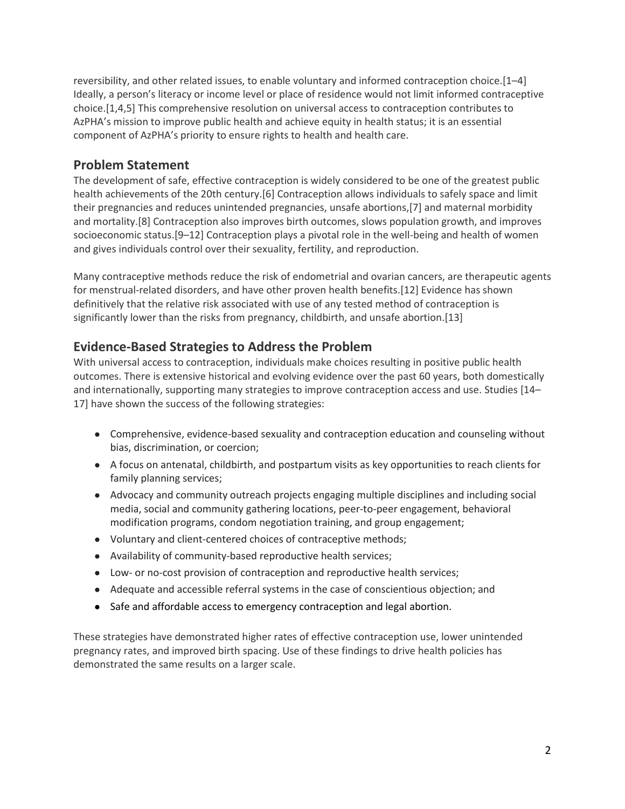reversibility, and other related issues, to enable voluntary and informed contraception choice.[1–4] Ideally, a person's literacy or income level or place of residence would not limit informed contraceptive choice.[1,4,5] This comprehensive resolution on universal access to contraception contributes to AzPHA's mission to improve public health and achieve equity in health status; it is an essential component of AzPHA's priority to ensure rights to health and health care.

## **Problem Statement**

The development of safe, effective contraception is widely considered to be one of the greatest public health achievements of the 20th century.[6] Contraception allows individuals to safely space and limit their pregnancies and reduces unintended pregnancies, unsafe abortions,[7] and maternal morbidity and mortality.[8] Contraception also improves birth outcomes, slows population growth, and improves socioeconomic status.[9–12] Contraception plays a pivotal role in the well-being and health of women and gives individuals control over their sexuality, fertility, and reproduction.

Many contraceptive methods reduce the risk of endometrial and ovarian cancers, are therapeutic agents for menstrual-related disorders, and have other proven health benefits.[12] Evidence has shown definitively that the relative risk associated with use of any tested method of contraception is significantly lower than the risks from pregnancy, childbirth, and unsafe abortion.[13]

## **Evidence-Based Strategies to Address the Problem**

With universal access to contraception, individuals make choices resulting in positive public health outcomes. There is extensive historical and evolving evidence over the past 60 years, both domestically and internationally, supporting many strategies to improve contraception access and use. Studies [14– 17] have shown the success of the following strategies:

- Comprehensive, evidence-based sexuality and contraception education and counseling without bias, discrimination, or coercion;
- A focus on antenatal, childbirth, and postpartum visits as key opportunities to reach clients for family planning services;
- Advocacy and community outreach projects engaging multiple disciplines and including social media, social and community gathering locations, peer-to-peer engagement, behavioral modification programs, condom negotiation training, and group engagement;
- Voluntary and client-centered choices of contraceptive methods;
- Availability of community-based reproductive health services;
- Low- or no-cost provision of contraception and reproductive health services;
- Adequate and accessible referral systems in the case of conscientious objection; and
- Safe and affordable access to emergency contraception and legal abortion.

These strategies have demonstrated higher rates of effective contraception use, lower unintended pregnancy rates, and improved birth spacing. Use of these findings to drive health policies has demonstrated the same results on a larger scale.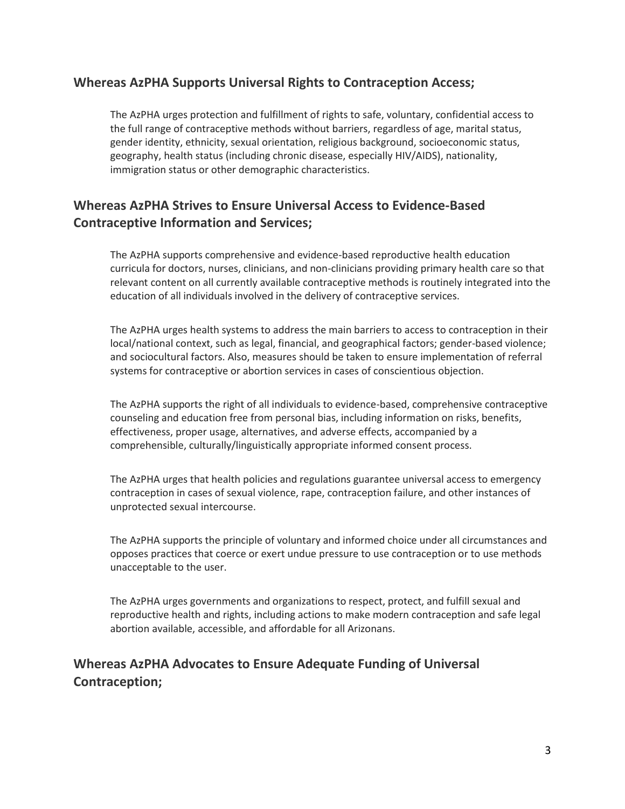#### **Whereas AzPHA Supports Universal Rights to Contraception Access;**

The AzPHA urges protection and fulfillment of rights to safe, voluntary, confidential access to the full range of contraceptive methods without barriers, regardless of age, marital status, gender identity, ethnicity, sexual orientation, religious background, socioeconomic status, geography, health status (including chronic disease, especially HIV/AIDS), nationality, immigration status or other demographic characteristics.

# **Whereas AzPHA Strives to Ensure Universal Access to Evidence-Based Contraceptive Information and Services;**

The AzPHA supports comprehensive and evidence-based reproductive health education curricula for doctors, nurses, clinicians, and non-clinicians providing primary health care so that relevant content on all currently available contraceptive methods is routinely integrated into the education of all individuals involved in the delivery of contraceptive services.

The AzPHA urges health systems to address the main barriers to access to contraception in their local/national context, such as legal, financial, and geographical factors; gender-based violence; and sociocultural factors. Also, measures should be taken to ensure implementation of referral systems for contraceptive or abortion services in cases of conscientious objection.

The AzPHA supports the right of all individuals to evidence-based, comprehensive contraceptive counseling and education free from personal bias, including information on risks, benefits, effectiveness, proper usage, alternatives, and adverse effects, accompanied by a comprehensible, culturally/linguistically appropriate informed consent process.

The AzPHA urges that health policies and regulations guarantee universal access to emergency contraception in cases of sexual violence, rape, contraception failure, and other instances of unprotected sexual intercourse.

The AzPHA supports the principle of voluntary and informed choice under all circumstances and opposes practices that coerce or exert undue pressure to use contraception or to use methods unacceptable to the user.

The AzPHA urges governments and organizations to respect, protect, and fulfill sexual and reproductive health and rights, including actions to make modern contraception and safe legal abortion available, accessible, and affordable for all Arizonans.

# **Whereas AzPHA Advocates to Ensure Adequate Funding of Universal Contraception;**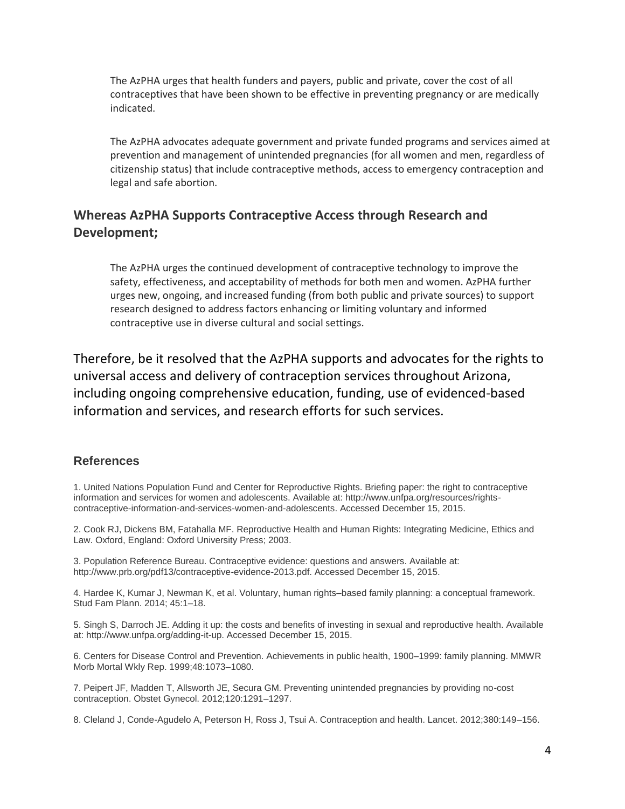The AzPHA urges that health funders and payers, public and private, cover the cost of all contraceptives that have been shown to be effective in preventing pregnancy or are medically indicated.

The AzPHA advocates adequate government and private funded programs and services aimed at prevention and management of unintended pregnancies (for all women and men, regardless of citizenship status) that include contraceptive methods, access to emergency contraception and legal and safe abortion.

## **Whereas AzPHA Supports Contraceptive Access through Research and Development;**

The AzPHA urges the continued development of contraceptive technology to improve the safety, effectiveness, and acceptability of methods for both men and women. AzPHA further urges new, ongoing, and increased funding (from both public and private sources) to support research designed to address factors enhancing or limiting voluntary and informed contraceptive use in diverse cultural and social settings.

Therefore, be it resolved that the AzPHA supports and advocates for the rights to universal access and delivery of contraception services throughout Arizona, including ongoing comprehensive education, funding, use of evidenced-based information and services, and research efforts for such services.

#### **References**

1. United Nations Population Fund and Center for Reproductive Rights. Briefing paper: the right to contraceptive information and services for women and adolescents. Available at: http://www.unfpa.org/resources/rightscontraceptive-information-and-services-women-and-adolescents. Accessed December 15, 2015.

2. Cook RJ, Dickens BM, Fatahalla MF. Reproductive Health and Human Rights: Integrating Medicine, Ethics and Law. Oxford, England: Oxford University Press; 2003.

3. Population Reference Bureau. Contraceptive evidence: questions and answers. Available at: http://www.prb.org/pdf13/contraceptive-evidence-2013.pdf. Accessed December 15, 2015.

4. Hardee K, Kumar J, Newman K, et al. Voluntary, human rights–based family planning: a conceptual framework. Stud Fam Plann. 2014; 45:1–18.

5. Singh S, Darroch JE. Adding it up: the costs and benefits of investing in sexual and reproductive health. Available at: http://www.unfpa.org/adding-it-up. Accessed December 15, 2015.

6. Centers for Disease Control and Prevention. Achievements in public health, 1900–1999: family planning. MMWR Morb Mortal Wkly Rep. 1999;48:1073–1080.

7. Peipert JF, Madden T, Allsworth JE, Secura GM. Preventing unintended pregnancies by providing no-cost contraception. Obstet Gynecol. 2012;120:1291–1297.

8. Cleland J, Conde-Agudelo A, Peterson H, Ross J, Tsui A. Contraception and health. Lancet. 2012;380:149–156.